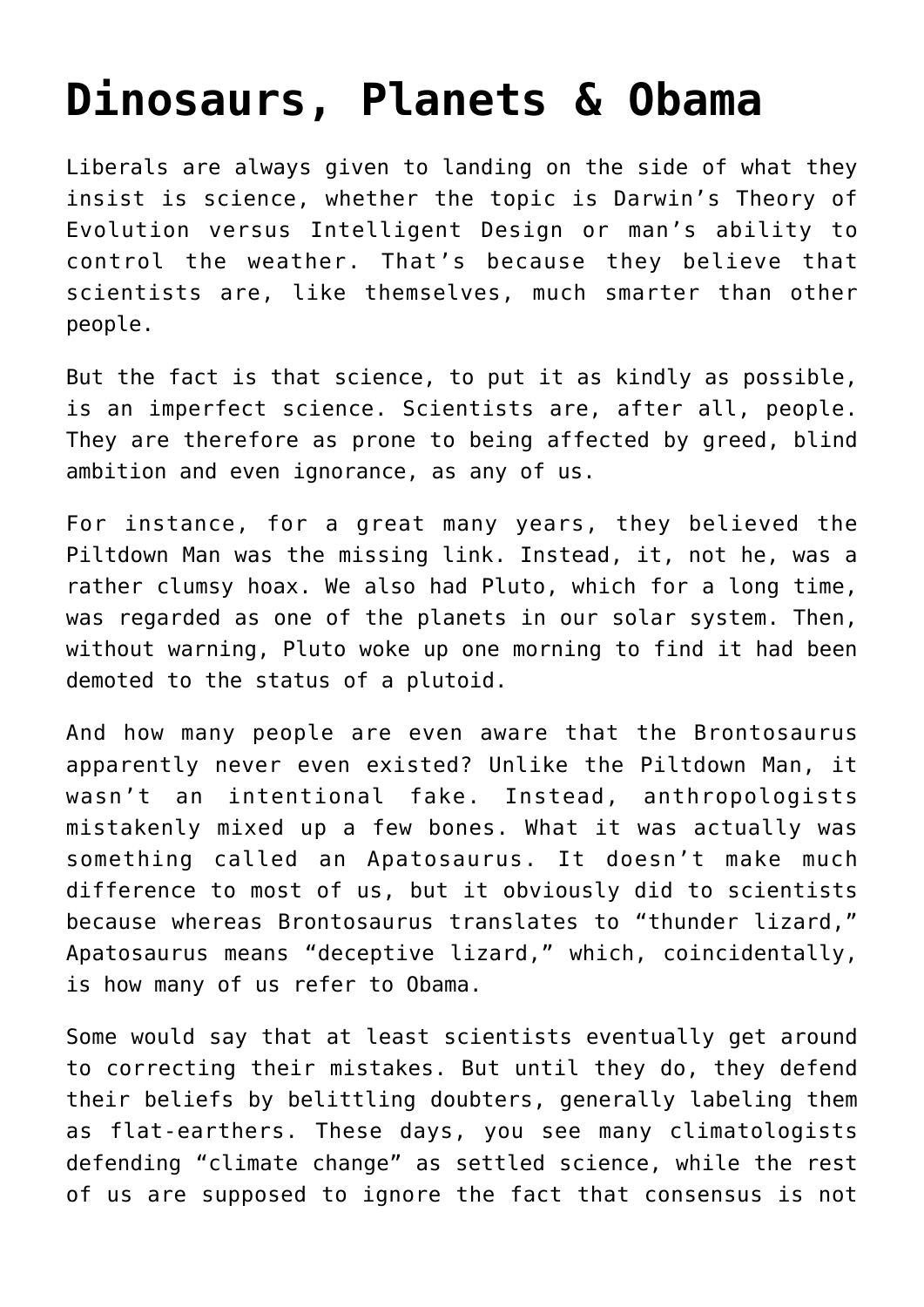## **[Dinosaurs, Planets & Obama](https://bernardgoldberg.com/dinosaurs-planets-obama/)**

Liberals are always given to landing on the side of what they insist is science, whether the topic is Darwin's Theory of Evolution versus Intelligent Design or man's ability to control the weather. That's because they believe that scientists are, like themselves, much smarter than other people.

But the fact is that science, to put it as kindly as possible, is an imperfect science. Scientists are, after all, people. They are therefore as prone to being affected by greed, blind ambition and even ignorance, as any of us.

For instance, for a great many years, they believed the Piltdown Man was the missing link. Instead, it, not he, was a rather clumsy hoax. We also had Pluto, which for a long time, was regarded as one of the planets in our solar system. Then, without warning, Pluto woke up one morning to find it had been demoted to the status of a plutoid.

And how many people are even aware that the Brontosaurus apparently never even existed? Unlike the Piltdown Man, it wasn't an intentional fake. Instead, anthropologists mistakenly mixed up a few bones. What it was actually was something called an Apatosaurus. It doesn't make much difference to most of us, but it obviously did to scientists because whereas Brontosaurus translates to "thunder lizard," Apatosaurus means "deceptive lizard," which, coincidentally, is how many of us refer to Obama.

Some would say that at least scientists eventually get around to correcting their mistakes. But until they do, they defend their beliefs by belittling doubters, generally labeling them as flat-earthers. These days, you see many climatologists defending "climate change" as settled science, while the rest of us are supposed to ignore the fact that consensus is not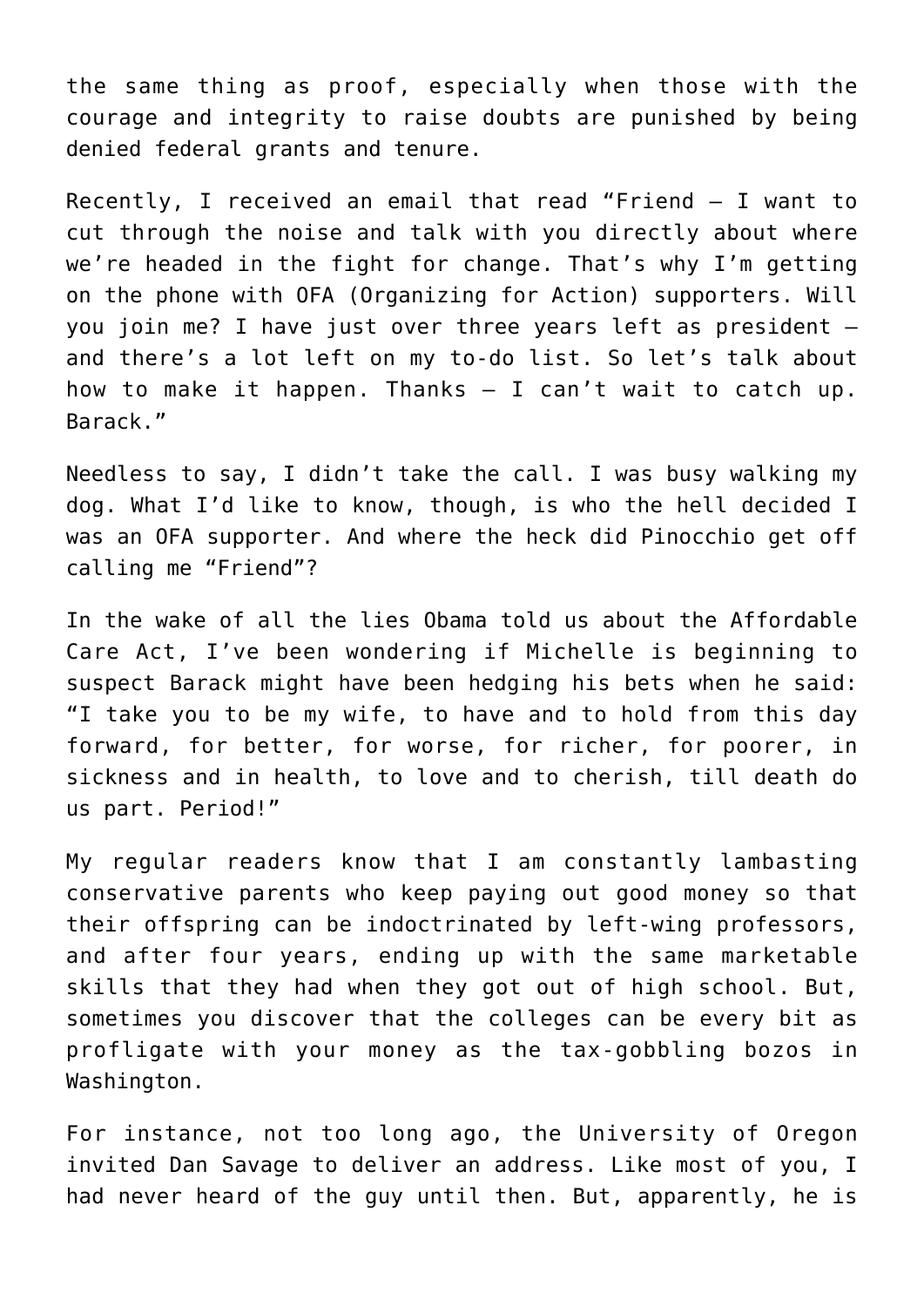the same thing as proof, especially when those with the courage and integrity to raise doubts are punished by being denied federal grants and tenure.

Recently, I received an email that read "Friend — I want to cut through the noise and talk with you directly about where we're headed in the fight for change. That's why I'm getting on the phone with OFA (Organizing for Action) supporters. Will you join me? I have just over three years left as president – and there's a lot left on my to-do list. So let's talk about how to make it happen. Thanks – I can't wait to catch up. Barack."

Needless to say, I didn't take the call. I was busy walking my dog. What I'd like to know, though, is who the hell decided I was an OFA supporter. And where the heck did Pinocchio get off calling me "Friend"?

In the wake of all the lies Obama told us about the Affordable Care Act, I've been wondering if Michelle is beginning to suspect Barack might have been hedging his bets when he said: "I take you to be my wife, to have and to hold from this day forward, for better, for worse, for richer, for poorer, in sickness and in health, to love and to cherish, till death do us part. Period!"

My regular readers know that I am constantly lambasting conservative parents who keep paying out good money so that their offspring can be indoctrinated by left-wing professors, and after four years, ending up with the same marketable skills that they had when they got out of high school. But, sometimes you discover that the colleges can be every bit as profligate with your money as the tax-gobbling bozos in Washington.

For instance, not too long ago, the University of Oregon invited Dan Savage to deliver an address. Like most of you, I had never heard of the guy until then. But, apparently, he is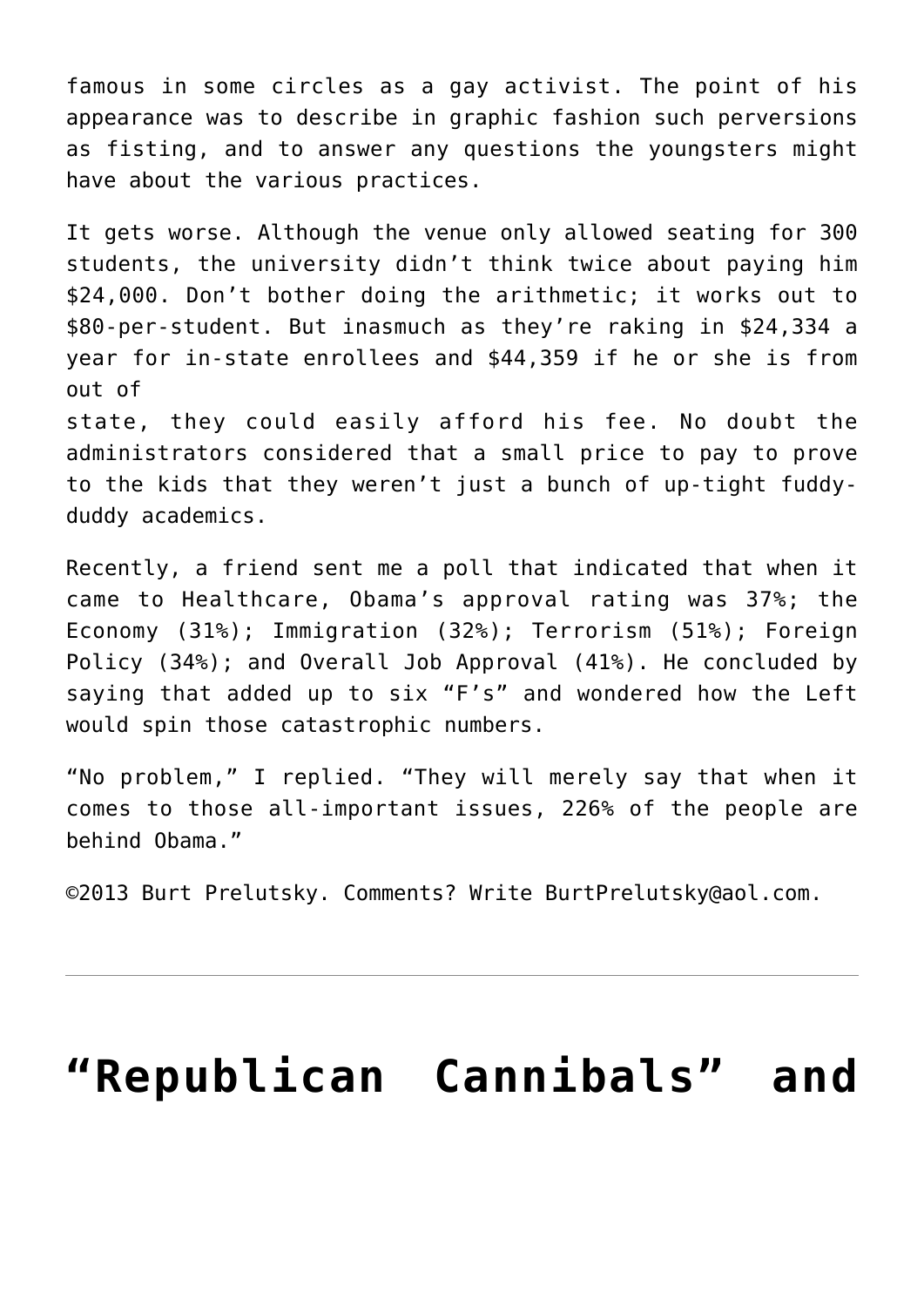famous in some circles as a gay activist. The point of his appearance was to describe in graphic fashion such perversions as fisting, and to answer any questions the youngsters might have about the various practices.

It gets worse. Although the venue only allowed seating for 300 students, the university didn't think twice about paying him \$24,000. Don't bother doing the arithmetic; it works out to \$80-per-student. But inasmuch as they're raking in \$24,334 a year for in-state enrollees and \$44,359 if he or she is from out of

state, they could easily afford his fee. No doubt the administrators considered that a small price to pay to prove to the kids that they weren't just a bunch of up-tight fuddyduddy academics.

Recently, a friend sent me a poll that indicated that when it came to Healthcare, Obama's approval rating was 37%; the Economy (31%); Immigration (32%); Terrorism (51%); Foreign Policy (34%); and Overall Job Approval (41%). He concluded by saying that added up to six "F's" and wondered how the Left would spin those catastrophic numbers.

"No problem," I replied. "They will merely say that when it comes to those all-important issues, 226% of the people are behind Obama."

©2013 [Burt Prelutsky](mailto:BurtPrelutsky@aol.com/). Comments? Write [BurtPrelutsky@aol.com](mailto:BurtPrelutsky@aol.com/).

## **["Republican Cannibals" and](https://bernardgoldberg.com/open-2/)**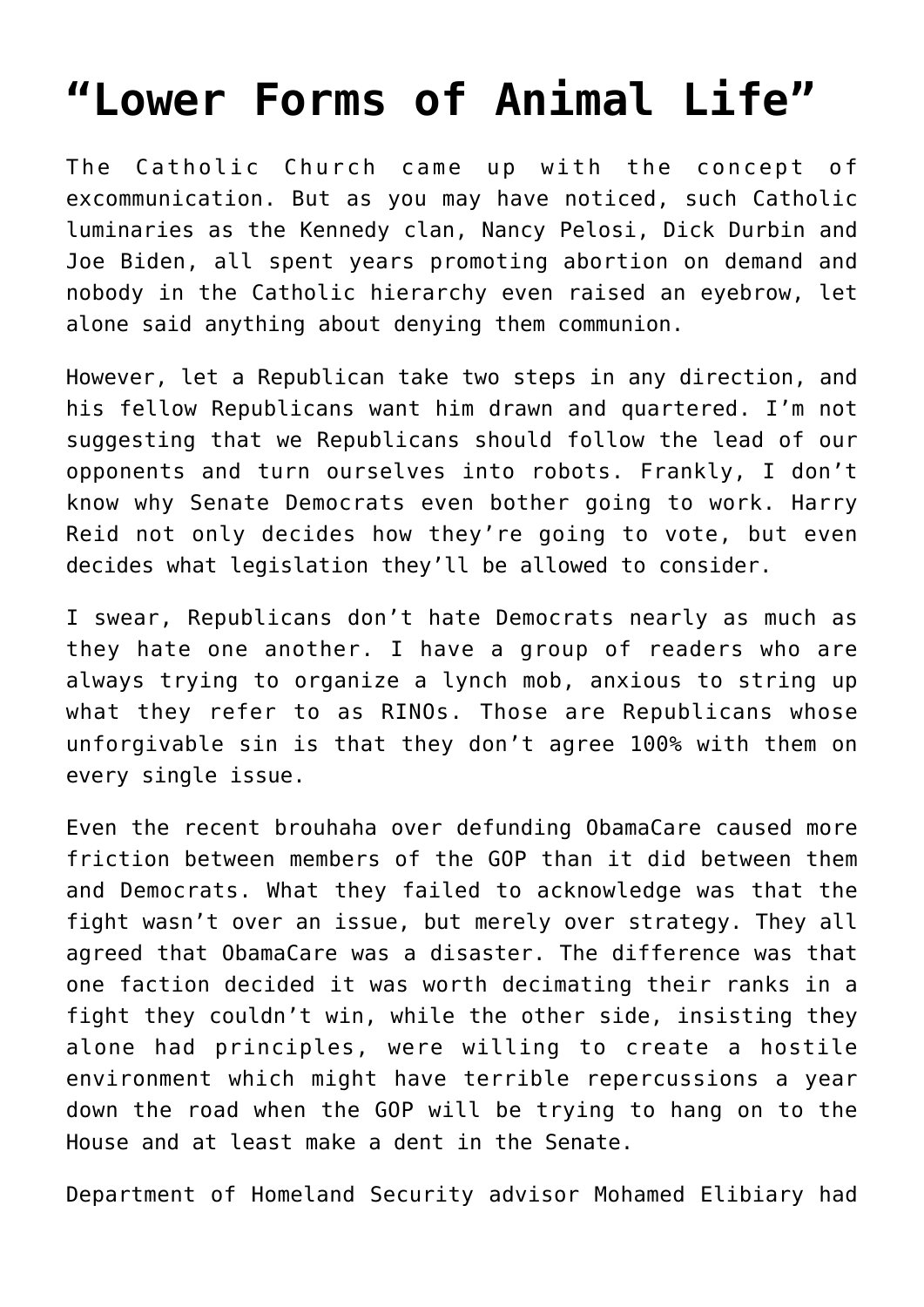## **["Lower Forms of Animal Life"](https://bernardgoldberg.com/open-2/)**

The Catholic Church came up with the concept of excommunication. But as you may have noticed, such Catholic luminaries as the Kennedy clan, Nancy Pelosi, Dick Durbin and Joe Biden, all spent years promoting abortion on demand and nobody in the Catholic hierarchy even raised an eyebrow, let alone said anything about denying them communion.

However, let a Republican take two steps in any direction, and his fellow Republicans want him drawn and quartered. I'm not suggesting that we Republicans should follow the lead of our opponents and turn ourselves into robots. Frankly, I don't know why Senate Democrats even bother going to work. Harry Reid not only decides how they're going to vote, but even decides what legislation they'll be allowed to consider.

I swear, Republicans don't hate Democrats nearly as much as they hate one another. I have a group of readers who are always trying to organize a lynch mob, anxious to string up what they refer to as RINOs. Those are Republicans whose unforgivable sin is that they don't agree 100% with them on every single issue.

Even the recent brouhaha over defunding ObamaCare caused more friction between members of the GOP than it did between them and Democrats. What they failed to acknowledge was that the fight wasn't over an issue, but merely over strategy. They all agreed that ObamaCare was a disaster. The difference was that one faction decided it was worth decimating their ranks in a fight they couldn't win, while the other side, insisting they alone had principles, were willing to create a hostile environment which might have terrible repercussions a year down the road when the GOP will be trying to hang on to the House and at least make a dent in the Senate.

Department of Homeland Security advisor Mohamed Elibiary had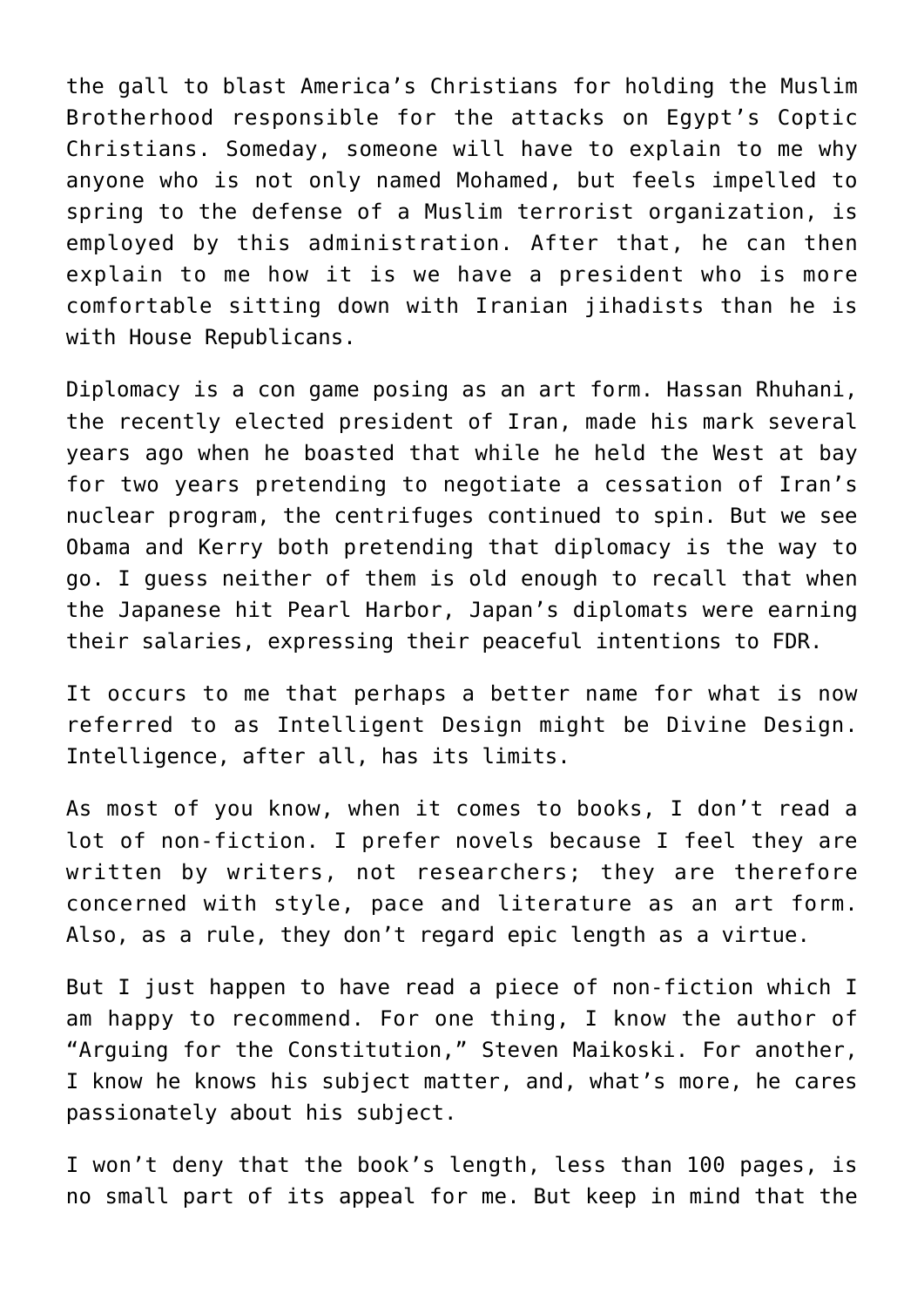the gall to blast America's Christians for holding the Muslim Brotherhood responsible for the attacks on Egypt's Coptic Christians. Someday, someone will have to explain to me why anyone who is not only named Mohamed, but feels impelled to spring to the defense of a Muslim terrorist organization, is employed by this administration. After that, he can then explain to me how it is we have a president who is more comfortable sitting down with Iranian jihadists than he is with House Republicans.

Diplomacy is a con game posing as an art form. Hassan Rhuhani, the recently elected president of Iran, made his mark several years ago when he boasted that while he held the West at bay for two years pretending to negotiate a cessation of Iran's nuclear program, the centrifuges continued to spin. But we see Obama and Kerry both pretending that diplomacy is the way to go. I guess neither of them is old enough to recall that when the Japanese hit Pearl Harbor, Japan's diplomats were earning their salaries, expressing their peaceful intentions to FDR.

It occurs to me that perhaps a better name for what is now referred to as Intelligent Design might be Divine Design. Intelligence, after all, has its limits.

As most of you know, when it comes to books, I don't read a lot of non-fiction. I prefer novels because I feel they are written by writers, not researchers; they are therefore concerned with style, pace and literature as an art form. Also, as a rule, they don't regard epic length as a virtue.

But I just happen to have read a piece of non-fiction which I am happy to recommend. For one thing, I know the author of "Arguing for the Constitution," Steven Maikoski. For another, I know he knows his subject matter, and, what's more, he cares passionately about his subject.

I won't deny that the book's length, less than 100 pages, is no small part of its appeal for me. But keep in mind that the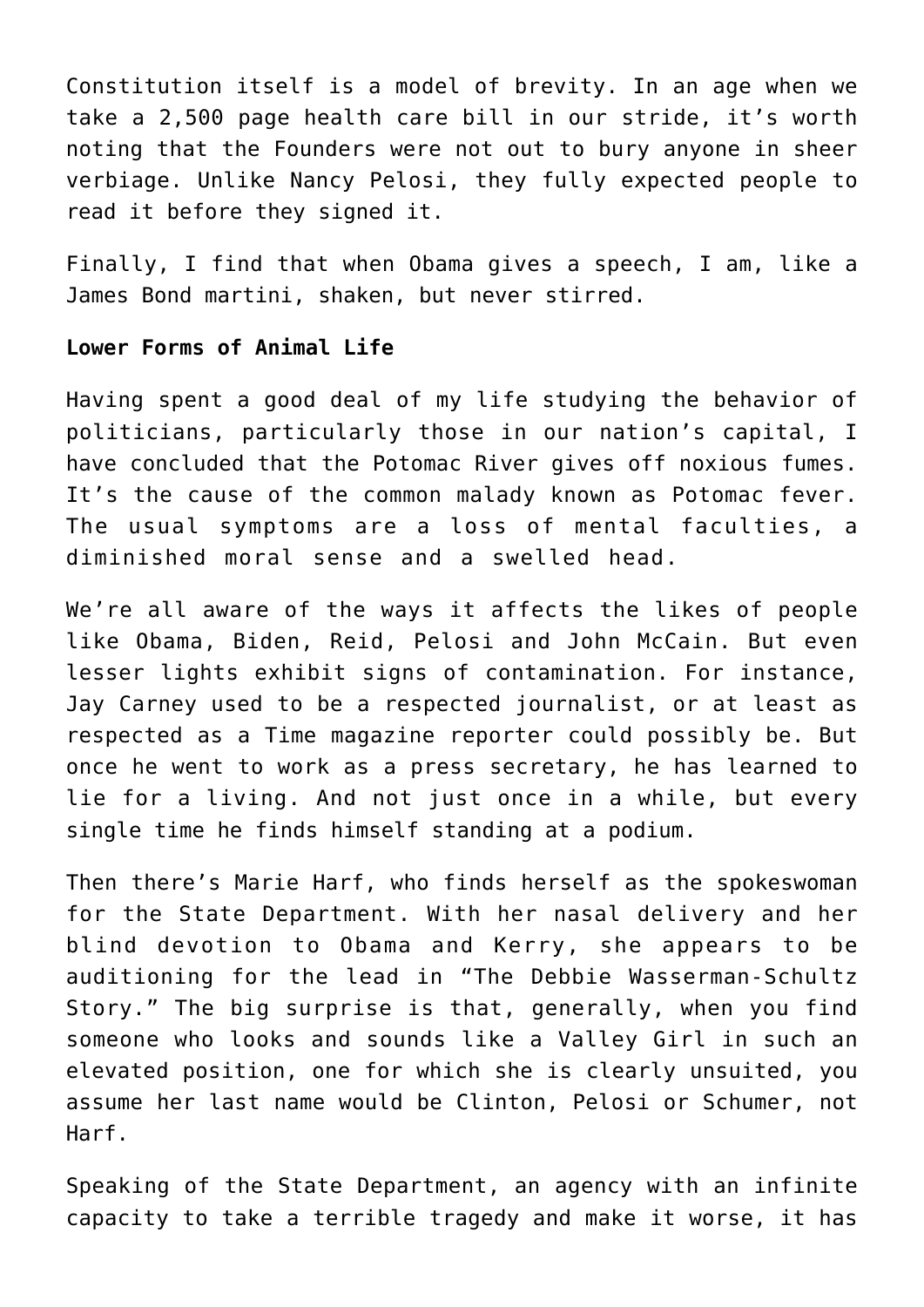Constitution itself is a model of brevity. In an age when we take a 2,500 page health care bill in our stride, it's worth noting that the Founders were not out to bury anyone in sheer verbiage. Unlike Nancy Pelosi, they fully expected people to read it before they signed it.

Finally, I find that when Obama gives a speech, I am, like a James Bond martini, shaken, but never stirred.

## **Lower Forms of Animal Life**

Having spent a good deal of my life studying the behavior of politicians, particularly those in our nation's capital, I have concluded that the Potomac River gives off noxious fumes. It's the cause of the common malady known as Potomac fever. The usual symptoms are a loss of mental faculties, a diminished moral sense and a swelled head.

We're all aware of the ways it affects the likes of people like Obama, Biden, Reid, Pelosi and John McCain. But even lesser lights exhibit signs of contamination. For instance, Jay Carney used to be a respected journalist, or at least as respected as a Time magazine reporter could possibly be. But once he went to work as a press secretary, he has learned to lie for a living. And not just once in a while, but every single time he finds himself standing at a podium.

Then there's Marie Harf, who finds herself as the spokeswoman for the State Department. With her nasal delivery and her blind devotion to Obama and Kerry, she appears to be auditioning for the lead in "The Debbie Wasserman-Schultz Story." The big surprise is that, generally, when you find someone who looks and sounds like a Valley Girl in such an elevated position, one for which she is clearly unsuited, you assume her last name would be Clinton, Pelosi or Schumer, not Harf.

Speaking of the State Department, an agency with an infinite capacity to take a terrible tragedy and make it worse, it has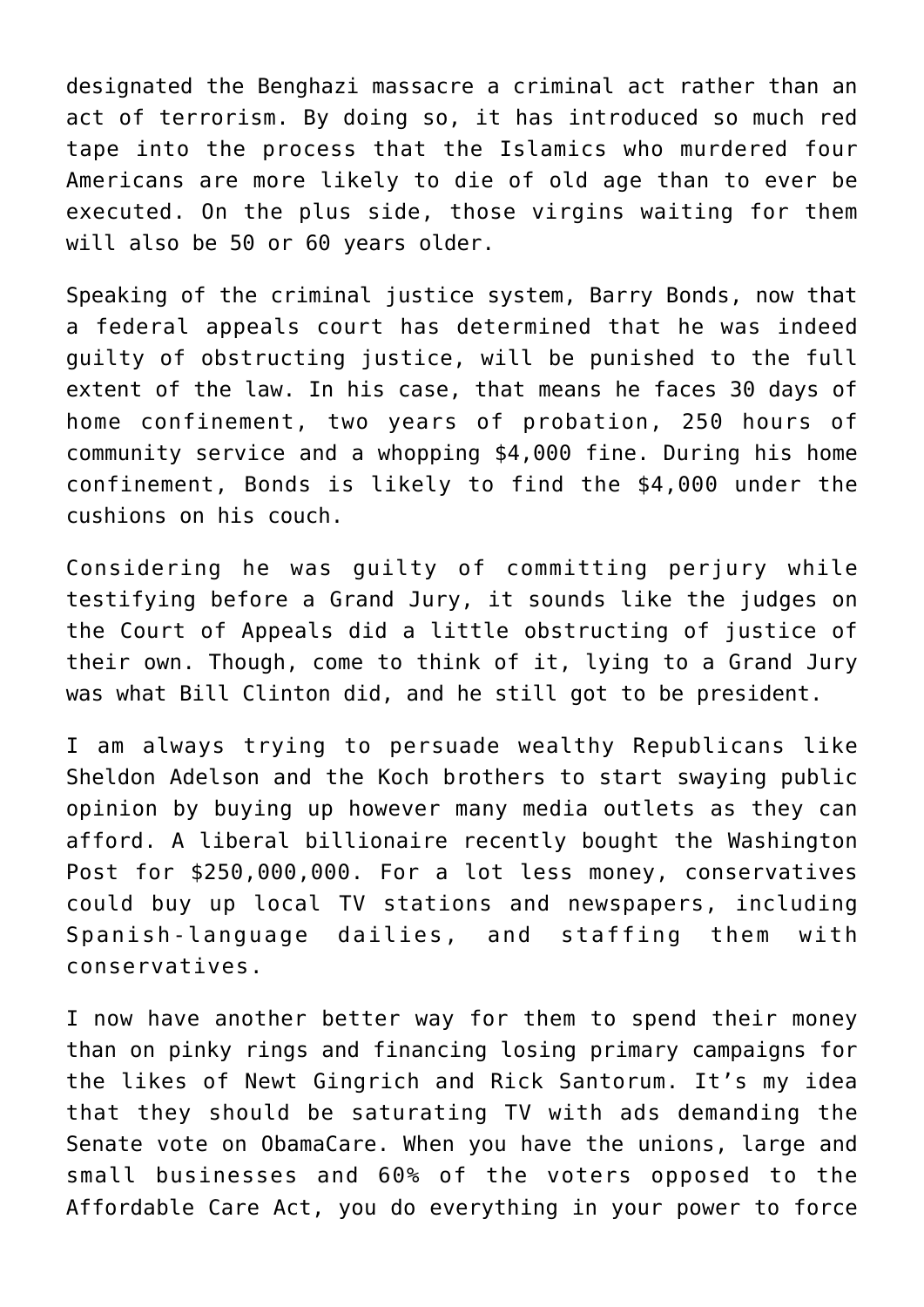designated the Benghazi massacre a criminal act rather than an act of terrorism. By doing so, it has introduced so much red tape into the process that the Islamics who murdered four Americans are more likely to die of old age than to ever be executed. On the plus side, those virgins waiting for them will also be 50 or 60 years older.

Speaking of the criminal justice system, Barry Bonds, now that a federal appeals court has determined that he was indeed guilty of obstructing justice, will be punished to the full extent of the law. In his case, that means he faces 30 days of home confinement, two years of probation, 250 hours of community service and a whopping \$4,000 fine. During his home confinement, Bonds is likely to find the \$4,000 under the cushions on his couch.

Considering he was guilty of committing perjury while testifying before a Grand Jury, it sounds like the judges on the Court of Appeals did a little obstructing of justice of their own. Though, come to think of it, lying to a Grand Jury was what Bill Clinton did, and he still got to be president.

I am always trying to persuade wealthy Republicans like Sheldon Adelson and the Koch brothers to start swaying public opinion by buying up however many media outlets as they can afford. A liberal billionaire recently bought the Washington Post for \$250,000,000. For a lot less money, conservatives could buy up local TV stations and newspapers, including Spanish-language dailies, and staffing them with conservatives.

I now have another better way for them to spend their money than on pinky rings and financing losing primary campaigns for the likes of Newt Gingrich and Rick Santorum. It's my idea that they should be saturating TV with ads demanding the Senate vote on ObamaCare. When you have the unions, large and small businesses and 60% of the voters opposed to the Affordable Care Act, you do everything in your power to force